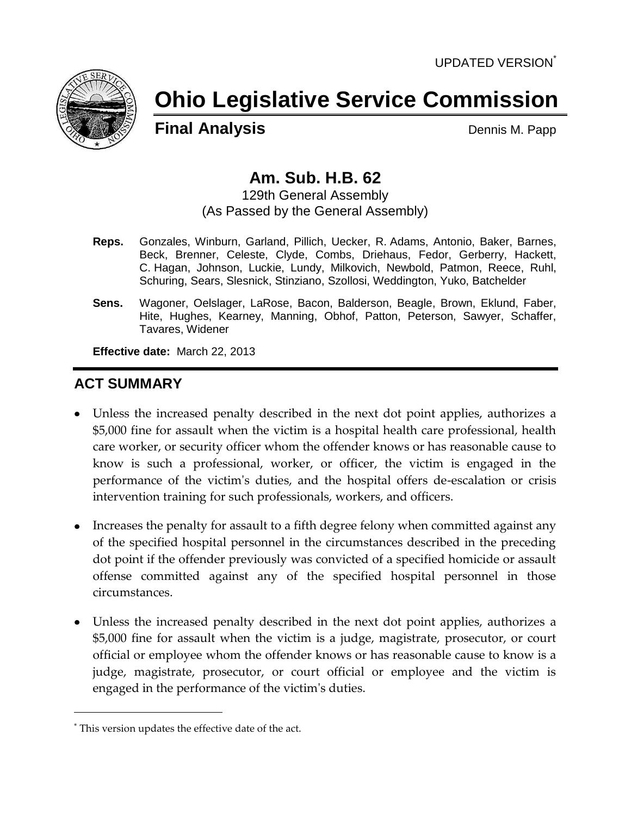

# **Ohio Legislative Service Commission**

**Final Analysis** Dennis M. Papp

# **Am. Sub. H.B. 62**

129th General Assembly (As Passed by the General Assembly)

- **Reps.** Gonzales, Winburn, Garland, Pillich, Uecker, R. Adams, Antonio, Baker, Barnes, Beck, Brenner, Celeste, Clyde, Combs, Driehaus, Fedor, Gerberry, Hackett, C. Hagan, Johnson, Luckie, Lundy, Milkovich, Newbold, Patmon, Reece, Ruhl, Schuring, Sears, Slesnick, Stinziano, Szollosi, Weddington, Yuko, Batchelder
- **Sens.** Wagoner, Oelslager, LaRose, Bacon, Balderson, Beagle, Brown, Eklund, Faber, Hite, Hughes, Kearney, Manning, Obhof, Patton, Peterson, Sawyer, Schaffer, Tavares, Widener

**Effective date:** March 22, 2013

# **ACT SUMMARY**

- Unless the increased penalty described in the next dot point applies, authorizes a \$5,000 fine for assault when the victim is a hospital health care professional, health care worker, or security officer whom the offender knows or has reasonable cause to know is such a professional, worker, or officer, the victim is engaged in the performance of the victim's duties, and the hospital offers de-escalation or crisis intervention training for such professionals, workers, and officers.
- Increases the penalty for assault to a fifth degree felony when committed against any of the specified hospital personnel in the circumstances described in the preceding dot point if the offender previously was convicted of a specified homicide or assault offense committed against any of the specified hospital personnel in those circumstances.
- Unless the increased penalty described in the next dot point applies, authorizes a \$5,000 fine for assault when the victim is a judge, magistrate, prosecutor, or court official or employee whom the offender knows or has reasonable cause to know is a judge, magistrate, prosecutor, or court official or employee and the victim is engaged in the performance of the victim's duties.

<sup>\*</sup> This version updates the effective date of the act.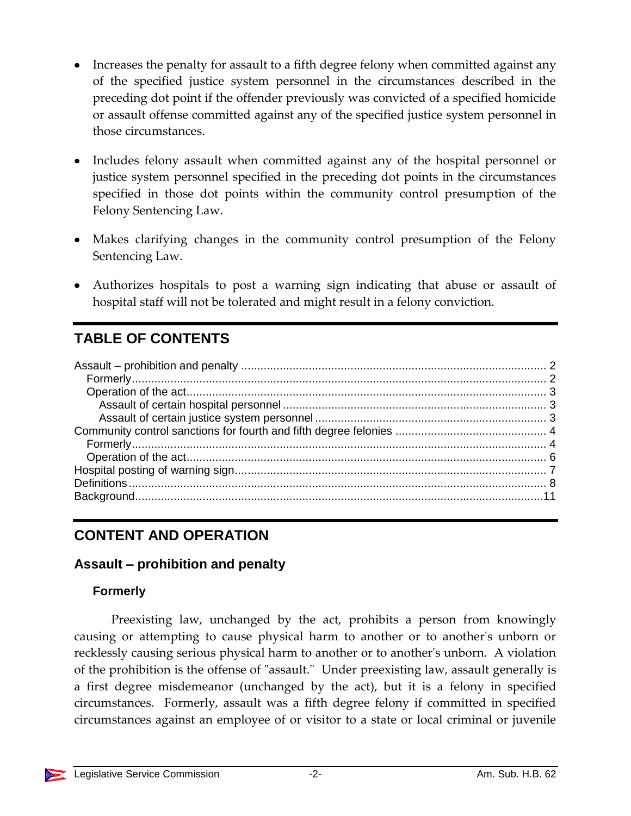- Increases the penalty for assault to a fifth degree felony when committed against any of the specified justice system personnel in the circumstances described in the preceding dot point if the offender previously was convicted of a specified homicide or assault offense committed against any of the specified justice system personnel in those circumstances.
- Includes felony assault when committed against any of the hospital personnel or justice system personnel specified in the preceding dot points in the circumstances specified in those dot points within the community control presumption of the Felony Sentencing Law.
- Makes clarifying changes in the community control presumption of the Felony Sentencing Law.
- Authorizes hospitals to post a warning sign indicating that abuse or assault of hospital staff will not be tolerated and might result in a felony conviction.

# **TABLE OF CONTENTS**

# **CONTENT AND OPERATION**

# <span id="page-1-0"></span>**Assault – prohibition and penalty**

#### <span id="page-1-1"></span>**Formerly**

Preexisting law, unchanged by the act, prohibits a person from knowingly causing or attempting to cause physical harm to another or to another's unborn or recklessly causing serious physical harm to another or to another's unborn. A violation of the prohibition is the offense of "assault." Under preexisting law, assault generally is a first degree misdemeanor (unchanged by the act), but it is a felony in specified circumstances. Formerly, assault was a fifth degree felony if committed in specified circumstances against an employee of or visitor to a state or local criminal or juvenile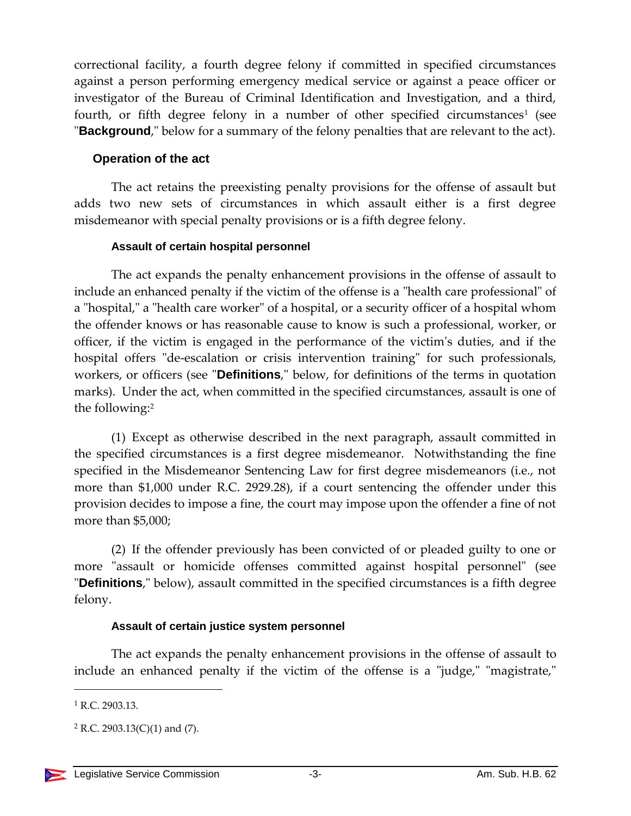correctional facility, a fourth degree felony if committed in specified circumstances against a person performing emergency medical service or against a peace officer or investigator of the Bureau of Criminal Identification and Investigation, and a third, fourth, or fifth degree felony in a number of other specified circumstances<sup>1</sup> (see "**Background**," below for a summary of the felony penalties that are relevant to the act).

#### <span id="page-2-0"></span>**Operation of the act**

The act retains the preexisting penalty provisions for the offense of assault but adds two new sets of circumstances in which assault either is a first degree misdemeanor with special penalty provisions or is a fifth degree felony.

#### **Assault of certain hospital personnel**

<span id="page-2-1"></span>The act expands the penalty enhancement provisions in the offense of assault to include an enhanced penalty if the victim of the offense is a "health care professional" of a "hospital," a "health care worker" of a hospital, or a security officer of a hospital whom the offender knows or has reasonable cause to know is such a professional, worker, or officer, if the victim is engaged in the performance of the victim's duties, and if the hospital offers "de-escalation or crisis intervention training" for such professionals, workers, or officers (see "**Definitions**," below, for definitions of the terms in quotation marks). Under the act, when committed in the specified circumstances, assault is one of the following:<sup>2</sup>

(1) Except as otherwise described in the next paragraph, assault committed in the specified circumstances is a first degree misdemeanor. Notwithstanding the fine specified in the Misdemeanor Sentencing Law for first degree misdemeanors (i.e., not more than \$1,000 under R.C. 2929.28), if a court sentencing the offender under this provision decides to impose a fine, the court may impose upon the offender a fine of not more than \$5,000;

(2) If the offender previously has been convicted of or pleaded guilty to one or more "assault or homicide offenses committed against hospital personnel" (see "**Definitions**," below), assault committed in the specified circumstances is a fifth degree felony.

#### **Assault of certain justice system personnel**

<span id="page-2-2"></span>The act expands the penalty enhancement provisions in the offense of assault to include an enhanced penalty if the victim of the offense is a "judge," "magistrate,"

 $1$  R.C. 2903.13.

 $2$  R.C. 2903.13(C)(1) and (7).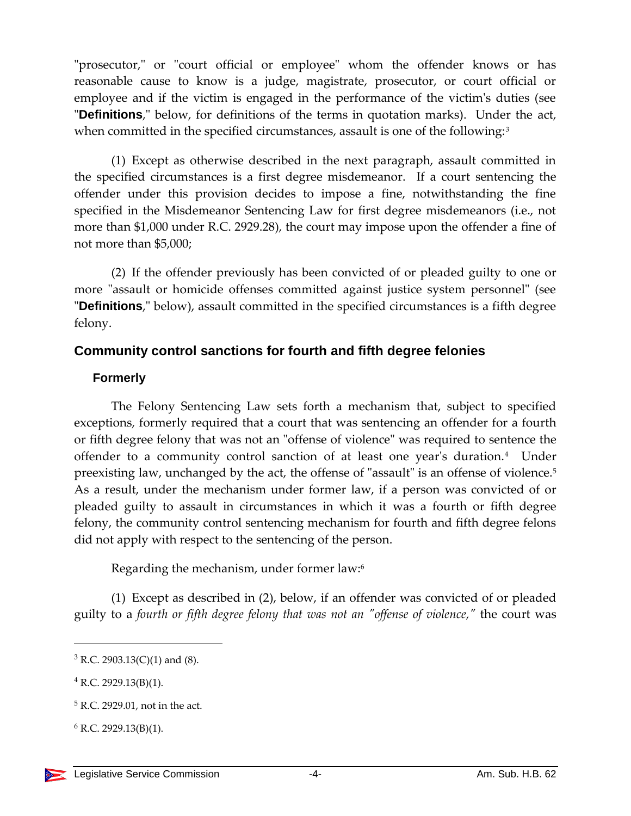"prosecutor," or "court official or employee" whom the offender knows or has reasonable cause to know is a judge, magistrate, prosecutor, or court official or employee and if the victim is engaged in the performance of the victim's duties (see "**Definitions**," below, for definitions of the terms in quotation marks). Under the act, when committed in the specified circumstances, assault is one of the following:<sup>3</sup>

(1) Except as otherwise described in the next paragraph, assault committed in the specified circumstances is a first degree misdemeanor. If a court sentencing the offender under this provision decides to impose a fine, notwithstanding the fine specified in the Misdemeanor Sentencing Law for first degree misdemeanors (i.e., not more than \$1,000 under R.C. 2929.28), the court may impose upon the offender a fine of not more than \$5,000;

(2) If the offender previously has been convicted of or pleaded guilty to one or more "assault or homicide offenses committed against justice system personnel" (see "**Definitions**," below), assault committed in the specified circumstances is a fifth degree felony.

#### <span id="page-3-0"></span>**Community control sanctions for fourth and fifth degree felonies**

#### <span id="page-3-1"></span>**Formerly**

The Felony Sentencing Law sets forth a mechanism that, subject to specified exceptions, formerly required that a court that was sentencing an offender for a fourth or fifth degree felony that was not an "offense of violence" was required to sentence the offender to a community control sanction of at least one year's duration.<sup>4</sup> Under preexisting law, unchanged by the act, the offense of "assault" is an offense of violence.<sup>5</sup> As a result, under the mechanism under former law, if a person was convicted of or pleaded guilty to assault in circumstances in which it was a fourth or fifth degree felony, the community control sentencing mechanism for fourth and fifth degree felons did not apply with respect to the sentencing of the person.

Regarding the mechanism, under former law:<sup>6</sup>

(1) Except as described in (2), below, if an offender was convicted of or pleaded guilty to a *fourth or fifth degree felony that was not an "offense of violence,"* the court was

 $3$  R.C. 2903.13(C)(1) and (8).

 $4$  R.C. 2929.13(B)(1).

<sup>5</sup> R.C. 2929.01, not in the act.

 $6$  R.C. 2929.13(B)(1).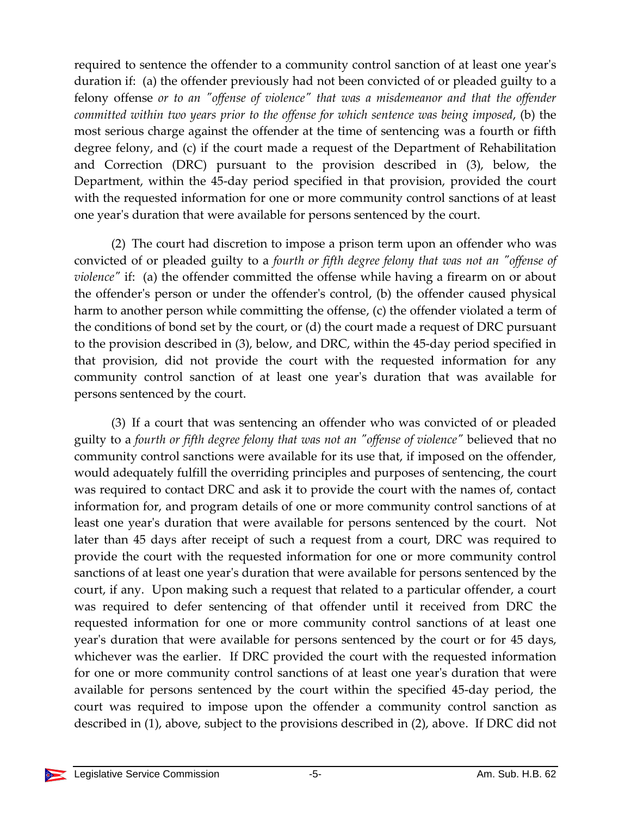required to sentence the offender to a community control sanction of at least one year's duration if: (a) the offender previously had not been convicted of or pleaded guilty to a felony offense *or to an "offense of violence" that was a misdemeanor and that the offender committed within two years prior to the offense for which sentence was being imposed*, (b) the most serious charge against the offender at the time of sentencing was a fourth or fifth degree felony, and (c) if the court made a request of the Department of Rehabilitation and Correction (DRC) pursuant to the provision described in (3), below, the Department, within the 45-day period specified in that provision, provided the court with the requested information for one or more community control sanctions of at least one year's duration that were available for persons sentenced by the court.

(2) The court had discretion to impose a prison term upon an offender who was convicted of or pleaded guilty to a *fourth or fifth degree felony that was not an "offense of violence"* if: (a) the offender committed the offense while having a firearm on or about the offender's person or under the offender's control, (b) the offender caused physical harm to another person while committing the offense, (c) the offender violated a term of the conditions of bond set by the court, or (d) the court made a request of DRC pursuant to the provision described in (3), below, and DRC, within the 45-day period specified in that provision, did not provide the court with the requested information for any community control sanction of at least one year's duration that was available for persons sentenced by the court.

(3) If a court that was sentencing an offender who was convicted of or pleaded guilty to a *fourth or fifth degree felony that was not an "offense of violence"* believed that no community control sanctions were available for its use that, if imposed on the offender, would adequately fulfill the overriding principles and purposes of sentencing, the court was required to contact DRC and ask it to provide the court with the names of, contact information for, and program details of one or more community control sanctions of at least one year's duration that were available for persons sentenced by the court. Not later than 45 days after receipt of such a request from a court, DRC was required to provide the court with the requested information for one or more community control sanctions of at least one year's duration that were available for persons sentenced by the court, if any. Upon making such a request that related to a particular offender, a court was required to defer sentencing of that offender until it received from DRC the requested information for one or more community control sanctions of at least one year's duration that were available for persons sentenced by the court or for 45 days, whichever was the earlier. If DRC provided the court with the requested information for one or more community control sanctions of at least one year's duration that were available for persons sentenced by the court within the specified 45-day period, the court was required to impose upon the offender a community control sanction as described in (1), above, subject to the provisions described in (2), above. If DRC did not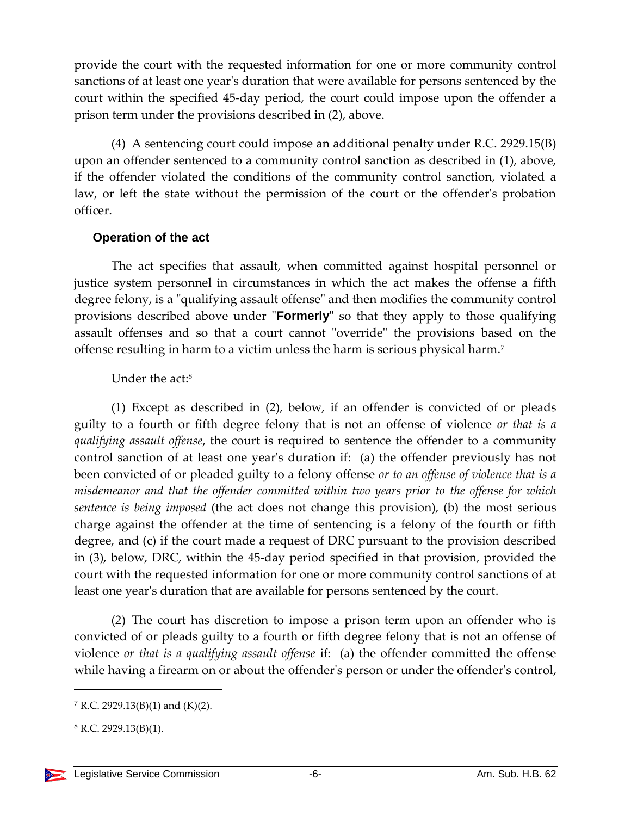provide the court with the requested information for one or more community control sanctions of at least one year's duration that were available for persons sentenced by the court within the specified 45-day period, the court could impose upon the offender a prison term under the provisions described in (2), above.

(4) A sentencing court could impose an additional penalty under R.C. 2929.15(B) upon an offender sentenced to a community control sanction as described in (1), above, if the offender violated the conditions of the community control sanction, violated a law, or left the state without the permission of the court or the offender's probation officer.

#### <span id="page-5-0"></span>**Operation of the act**

The act specifies that assault, when committed against hospital personnel or justice system personnel in circumstances in which the act makes the offense a fifth degree felony, is a "qualifying assault offense" and then modifies the community control provisions described above under "**Formerly**" so that they apply to those qualifying assault offenses and so that a court cannot "override" the provisions based on the offense resulting in harm to a victim unless the harm is serious physical harm.<sup>7</sup>

## Under the act: 8

(1) Except as described in (2), below, if an offender is convicted of or pleads guilty to a fourth or fifth degree felony that is not an offense of violence *or that is a qualifying assault offense*, the court is required to sentence the offender to a community control sanction of at least one year's duration if: (a) the offender previously has not been convicted of or pleaded guilty to a felony offense *or to an offense of violence that is a misdemeanor and that the offender committed within two years prior to the offense for which sentence is being imposed* (the act does not change this provision), (b) the most serious charge against the offender at the time of sentencing is a felony of the fourth or fifth degree, and (c) if the court made a request of DRC pursuant to the provision described in (3), below, DRC, within the 45-day period specified in that provision, provided the court with the requested information for one or more community control sanctions of at least one year's duration that are available for persons sentenced by the court.

(2) The court has discretion to impose a prison term upon an offender who is convicted of or pleads guilty to a fourth or fifth degree felony that is not an offense of violence *or that is a qualifying assault offense* if: (a) the offender committed the offense while having a firearm on or about the offender's person or under the offender's control,

<sup>&</sup>lt;sup>7</sup> R.C. 2929.13(B)(1) and (K)(2).

 $8$  R.C. 2929.13(B)(1).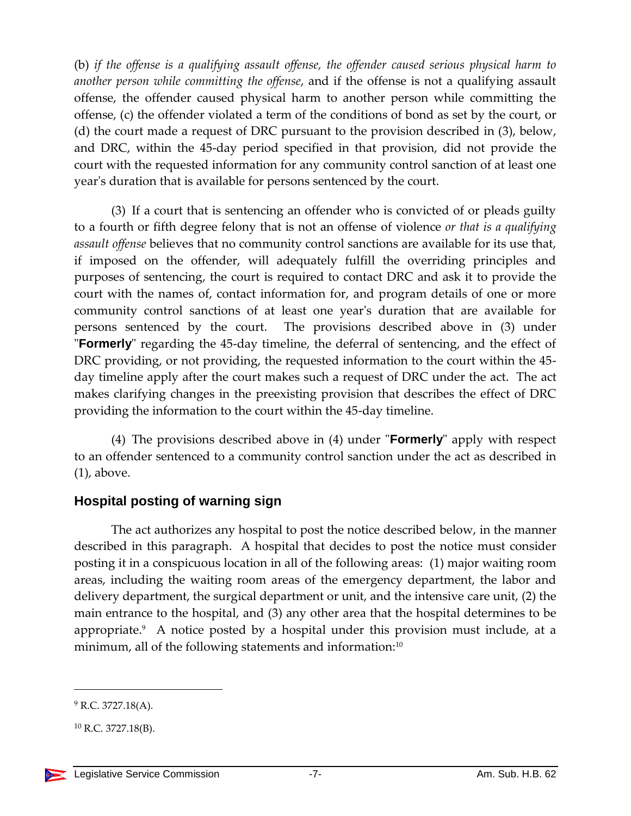(b) *if the offense is a qualifying assault offense, the offender caused serious physical harm to another person while committing the offense*, and if the offense is not a qualifying assault offense, the offender caused physical harm to another person while committing the offense, (c) the offender violated a term of the conditions of bond as set by the court, or (d) the court made a request of DRC pursuant to the provision described in (3), below, and DRC, within the 45-day period specified in that provision, did not provide the court with the requested information for any community control sanction of at least one year's duration that is available for persons sentenced by the court.

(3) If a court that is sentencing an offender who is convicted of or pleads guilty to a fourth or fifth degree felony that is not an offense of violence *or that is a qualifying assault offense* believes that no community control sanctions are available for its use that, if imposed on the offender, will adequately fulfill the overriding principles and purposes of sentencing, the court is required to contact DRC and ask it to provide the court with the names of, contact information for, and program details of one or more community control sanctions of at least one year's duration that are available for persons sentenced by the court. The provisions described above in (3) under "**Formerly**" regarding the 45-day timeline, the deferral of sentencing, and the effect of DRC providing, or not providing, the requested information to the court within the 45 day timeline apply after the court makes such a request of DRC under the act. The act makes clarifying changes in the preexisting provision that describes the effect of DRC providing the information to the court within the 45-day timeline.

(4) The provisions described above in (4) under "**Formerly**" apply with respect to an offender sentenced to a community control sanction under the act as described in (1), above.

# <span id="page-6-0"></span>**Hospital posting of warning sign**

The act authorizes any hospital to post the notice described below, in the manner described in this paragraph. A hospital that decides to post the notice must consider posting it in a conspicuous location in all of the following areas: (1) major waiting room areas, including the waiting room areas of the emergency department, the labor and delivery department, the surgical department or unit, and the intensive care unit, (2) the main entrance to the hospital, and (3) any other area that the hospital determines to be appropriate.<sup>9</sup> A notice posted by a hospital under this provision must include, at a minimum, all of the following statements and information:<sup>10</sup>

 $^{9}$  R.C. 3727.18(A).

 $^{10}$  R.C. 3727.18(B).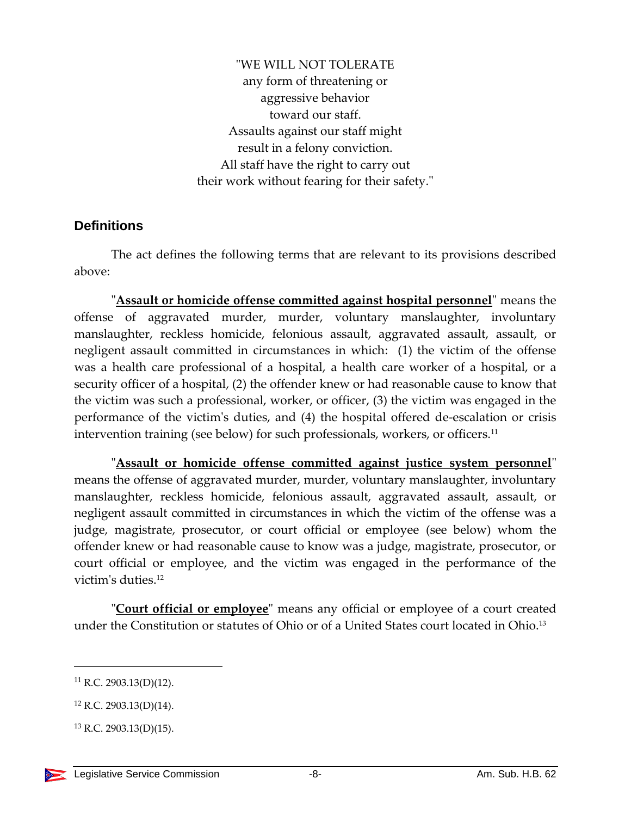"WE WILL NOT TOLERATE any form of threatening or aggressive behavior toward our staff. Assaults against our staff might result in a felony conviction. All staff have the right to carry out their work without fearing for their safety."

#### <span id="page-7-0"></span>**Definitions**

The act defines the following terms that are relevant to its provisions described above:

"**Assault or homicide offense committed against hospital personnel**" means the offense of aggravated murder, murder, voluntary manslaughter, involuntary manslaughter, reckless homicide, felonious assault, aggravated assault, assault, or negligent assault committed in circumstances in which: (1) the victim of the offense was a health care professional of a hospital, a health care worker of a hospital, or a security officer of a hospital, (2) the offender knew or had reasonable cause to know that the victim was such a professional, worker, or officer, (3) the victim was engaged in the performance of the victim's duties, and (4) the hospital offered de-escalation or crisis intervention training (see below) for such professionals, workers, or officers.<sup>11</sup>

"**Assault or homicide offense committed against justice system personnel**" means the offense of aggravated murder, murder, voluntary manslaughter, involuntary manslaughter, reckless homicide, felonious assault, aggravated assault, assault, or negligent assault committed in circumstances in which the victim of the offense was a judge, magistrate, prosecutor, or court official or employee (see below) whom the offender knew or had reasonable cause to know was a judge, magistrate, prosecutor, or court official or employee, and the victim was engaged in the performance of the victim's duties. 12

"**Court official or employee**" means any official or employee of a court created under the Constitution or statutes of Ohio or of a United States court located in Ohio. 13

 $11$  R.C. 2903.13(D)(12).

<sup>12</sup> R.C. 2903.13(D)(14).

 $13$  R.C. 2903.13(D)(15).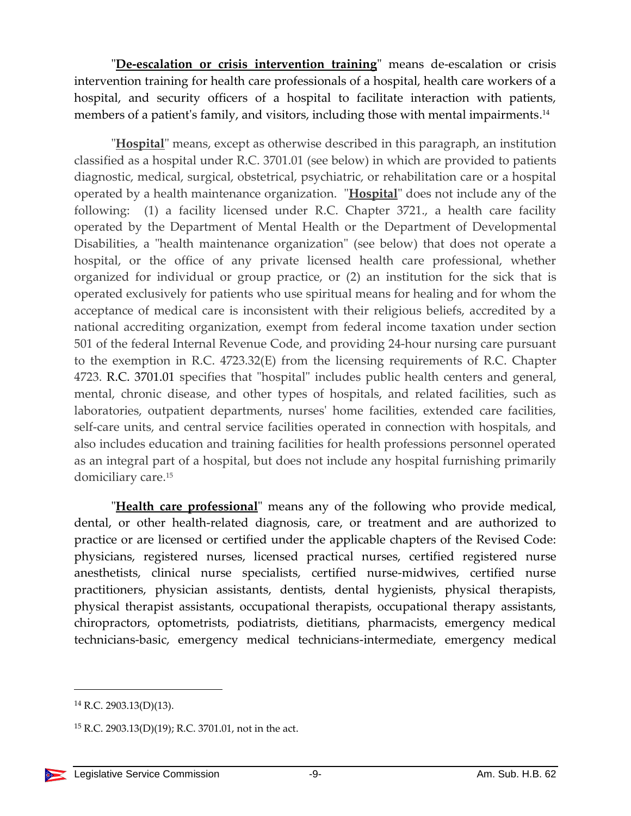"**De-escalation or crisis intervention training**" means de-escalation or crisis intervention training for health care professionals of a hospital, health care workers of a hospital, and security officers of a hospital to facilitate interaction with patients, members of a patient's family, and visitors, including those with mental impairments. 14

"**Hospital**" means, except as otherwise described in this paragraph, an institution classified as a hospital under R.C. 3701.01 (see below) in which are provided to patients diagnostic, medical, surgical, obstetrical, psychiatric, or rehabilitation care or a hospital operated by a health maintenance organization. "**Hospital**" does not include any of the following: (1) a facility licensed under R.C. Chapter 3721., a health care facility operated by the Department of Mental Health or the Department of Developmental Disabilities, a "health maintenance organization" (see below) that does not operate a hospital, or the office of any private licensed health care professional, whether organized for individual or group practice, or (2) an institution for the sick that is operated exclusively for patients who use spiritual means for healing and for whom the acceptance of medical care is inconsistent with their religious beliefs, accredited by a national accrediting organization, exempt from federal income taxation under section 501 of the federal Internal Revenue Code, and providing 24-hour nursing care pursuant to the exemption in R.C. 4723.32(E) from the licensing requirements of R.C. Chapter 4723. R.C. 3701.01 specifies that "hospital" includes public health centers and general, mental, chronic disease, and other types of hospitals, and related facilities, such as laboratories, outpatient departments, nurses' home facilities, extended care facilities, self-care units, and central service facilities operated in connection with hospitals, and also includes education and training facilities for health professions personnel operated as an integral part of a hospital, but does not include any hospital furnishing primarily domiciliary care. 15

"**Health care professional**" means any of the following who provide medical, dental, or other health-related diagnosis, care, or treatment and are authorized to practice or are licensed or certified under the applicable chapters of the Revised Code: physicians, registered nurses, licensed practical nurses, certified registered nurse anesthetists, clinical nurse specialists, certified nurse-midwives, certified nurse practitioners, physician assistants, dentists, dental hygienists, physical therapists, physical therapist assistants, occupational therapists, occupational therapy assistants, chiropractors, optometrists, podiatrists, dietitians, pharmacists, emergency medical technicians-basic, emergency medical technicians-intermediate, emergency medical

 $14$  R.C. 2903.13(D)(13).

 $15$  R.C. 2903.13(D)(19); R.C. 3701.01, not in the act.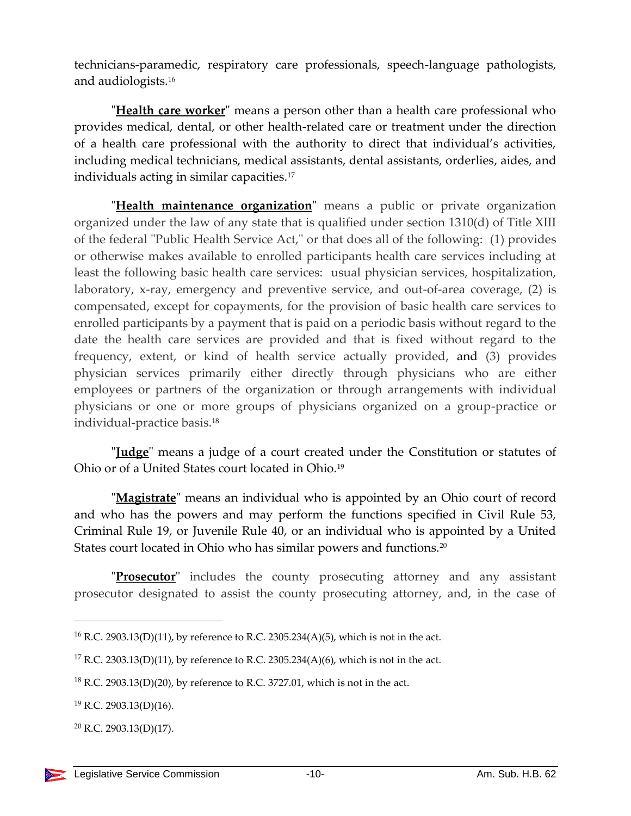technicians-paramedic, respiratory care professionals, speech-language pathologists, and audiologists.<sup>16</sup>

"**Health care worker**" means a person other than a health care professional who provides medical, dental, or other health-related care or treatment under the direction of a health care professional with the authority to direct that individual's activities, including medical technicians, medical assistants, dental assistants, orderlies, aides, and individuals acting in similar capacities.<sup>17</sup>

"**Health maintenance organization**" means a public or private organization organized under the law of any state that is qualified under section 1310(d) of Title XIII of the federal "Public Health Service Act," or that does all of the following: (1) provides or otherwise makes available to enrolled participants health care services including at least the following basic health care services: usual physician services, hospitalization, laboratory, x-ray, emergency and preventive service, and out-of-area coverage, (2) is compensated, except for copayments, for the provision of basic health care services to enrolled participants by a payment that is paid on a periodic basis without regard to the date the health care services are provided and that is fixed without regard to the frequency, extent, or kind of health service actually provided, and (3) provides physician services primarily either directly through physicians who are either employees or partners of the organization or through arrangements with individual physicians or one or more groups of physicians organized on a group-practice or individual-practice basis.<sup>18</sup>

"**Judge**" means a judge of a court created under the Constitution or statutes of Ohio or of a United States court located in Ohio. 19

"**Magistrate**" means an individual who is appointed by an Ohio court of record and who has the powers and may perform the functions specified in Civil Rule 53, Criminal Rule 19, or Juvenile Rule 40, or an individual who is appointed by a United States court located in Ohio who has similar powers and functions.<sup>20</sup>

"**Prosecutor**" includes the county prosecuting attorney and any assistant prosecutor designated to assist the county prosecuting attorney, and, in the case of

<sup>16</sup> R.C. 2903.13(D)(11), by reference to R.C. 2305.234(A)(5), which is not in the act.

<sup>&</sup>lt;sup>17</sup> R.C. 2303.13(D)(11), by reference to R.C. 2305.234(A)(6), which is not in the act.

 $18$  R.C. 2903.13(D)(20), by reference to R.C. 3727.01, which is not in the act.

 $19$  R.C. 2903.13(D)(16).

 $20$  R.C. 2903.13(D)(17).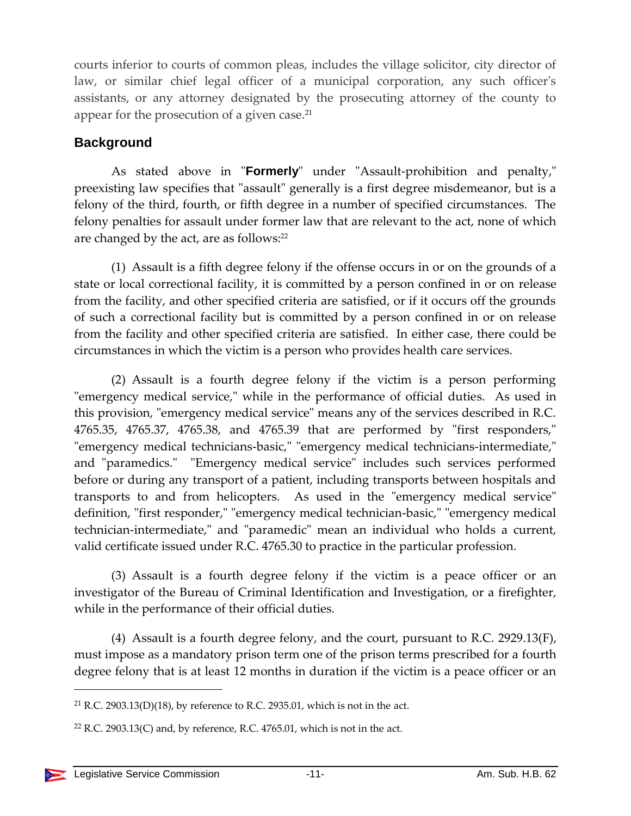courts inferior to courts of common pleas, includes the village solicitor, city director of law, or similar chief legal officer of a municipal corporation, any such officer's assistants, or any attorney designated by the prosecuting attorney of the county to appear for the prosecution of a given case.<sup>21</sup>

## <span id="page-10-0"></span>**Background**

As stated above in "**Formerly**" under "Assault-prohibition and penalty," preexisting law specifies that "assault" generally is a first degree misdemeanor, but is a felony of the third, fourth, or fifth degree in a number of specified circumstances. The felony penalties for assault under former law that are relevant to the act, none of which are changed by the act, are as follows:<sup>22</sup>

(1) Assault is a fifth degree felony if the offense occurs in or on the grounds of a state or local correctional facility, it is committed by a person confined in or on release from the facility, and other specified criteria are satisfied, or if it occurs off the grounds of such a correctional facility but is committed by a person confined in or on release from the facility and other specified criteria are satisfied. In either case, there could be circumstances in which the victim is a person who provides health care services.

(2) Assault is a fourth degree felony if the victim is a person performing "emergency medical service," while in the performance of official duties. As used in this provision, "emergency medical service" means any of the services described in R.C. 4765.35, 4765.37, 4765.38, and 4765.39 that are performed by "first responders," "emergency medical technicians-basic," "emergency medical technicians-intermediate," and "paramedics." "Emergency medical service" includes such services performed before or during any transport of a patient, including transports between hospitals and transports to and from helicopters. As used in the "emergency medical service" definition, "first responder," "emergency medical technician-basic," "emergency medical technician-intermediate," and "paramedic" mean an individual who holds a current, valid certificate issued under R.C. 4765.30 to practice in the particular profession.

(3) Assault is a fourth degree felony if the victim is a peace officer or an investigator of the Bureau of Criminal Identification and Investigation, or a firefighter, while in the performance of their official duties.

(4) Assault is a fourth degree felony, and the court, pursuant to R.C. 2929.13(F), must impose as a mandatory prison term one of the prison terms prescribed for a fourth degree felony that is at least 12 months in duration if the victim is a peace officer or an

<sup>&</sup>lt;sup>21</sup> R.C. 2903.13(D)(18), by reference to R.C. 2935.01, which is not in the act.

 $22$  R.C. 2903.13(C) and, by reference, R.C. 4765.01, which is not in the act.